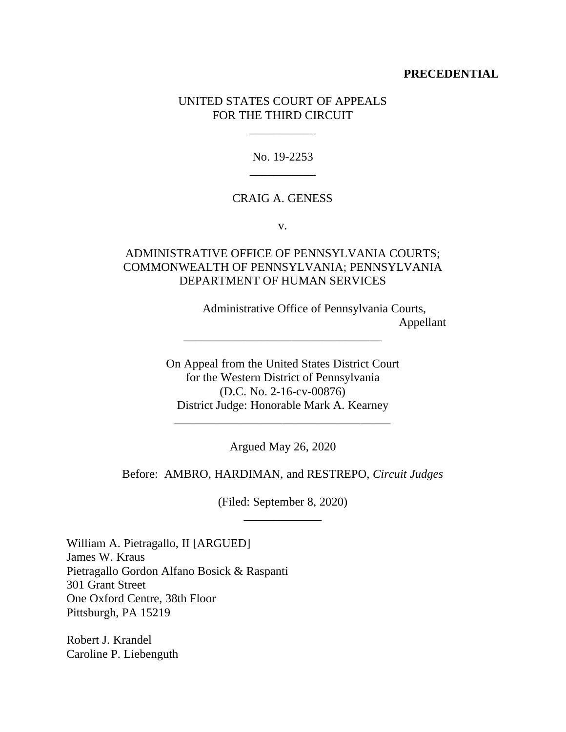### **PRECEDENTIAL**

## UNITED STATES COURT OF APPEALS FOR THE THIRD CIRCUIT

\_\_\_\_\_\_\_\_\_\_\_

No. 19-2253 \_\_\_\_\_\_\_\_\_\_\_

## CRAIG A. GENESS

v.

# ADMINISTRATIVE OFFICE OF PENNSYLVANIA COURTS; COMMONWEALTH OF PENNSYLVANIA; PENNSYLVANIA DEPARTMENT OF HUMAN SERVICES

 Administrative Office of Pennsylvania Courts, Appellant

On Appeal from the United States District Court for the Western District of Pennsylvania (D.C. No. 2-16-cv-00876) District Judge: Honorable Mark A. Kearney

\_\_\_\_\_\_\_\_\_\_\_\_\_\_\_\_\_\_\_\_\_\_\_\_\_\_\_\_\_\_\_\_\_

Argued May 26, 2020

\_\_\_\_\_\_\_\_\_\_\_\_\_\_\_\_\_\_\_\_\_\_\_\_\_\_\_\_\_\_\_\_\_\_\_\_

Before: AMBRO, HARDIMAN, and RESTREPO, *Circuit Judges*

(Filed: September 8, 2020) \_\_\_\_\_\_\_\_\_\_\_\_\_

William A. Pietragallo, II [ARGUED] James W. Kraus Pietragallo Gordon Alfano Bosick & Raspanti 301 Grant Street One Oxford Centre, 38th Floor Pittsburgh, PA 15219

Robert J. Krandel Caroline P. Liebenguth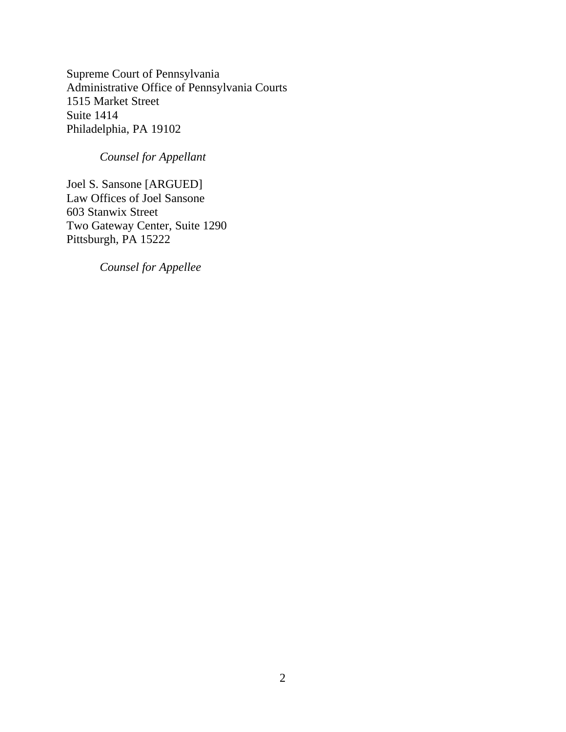Supreme Court of Pennsylvania Administrative Office of Pennsylvania Courts 1515 Market Street Suite 1414 Philadelphia, PA 19102

# *Counsel for Appellant*

Joel S. Sansone [ARGUED] Law Offices of Joel Sansone 603 Stanwix Street Two Gateway Center, Suite 1290 Pittsburgh, PA 15222

*Counsel for Appellee*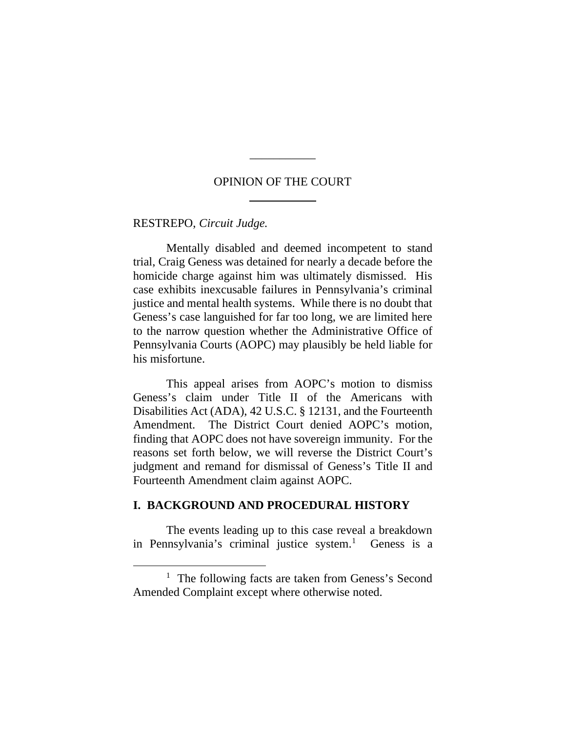## OPINION OF THE COURT

\_\_\_\_\_\_\_\_\_\_\_

### RESTREPO, *Circuit Judge.*

Mentally disabled and deemed incompetent to stand trial, Craig Geness was detained for nearly a decade before the homicide charge against him was ultimately dismissed. His case exhibits inexcusable failures in Pennsylvania's criminal justice and mental health systems. While there is no doubt that Geness's case languished for far too long, we are limited here to the narrow question whether the Administrative Office of Pennsylvania Courts (AOPC) may plausibly be held liable for his misfortune.

This appeal arises from AOPC's motion to dismiss Geness's claim under Title II of the Americans with Disabilities Act (ADA), 42 U.S.C. § 12131, and the Fourteenth Amendment. The District Court denied AOPC's motion, finding that AOPC does not have sovereign immunity. For the reasons set forth below, we will reverse the District Court's judgment and remand for dismissal of Geness's Title II and Fourteenth Amendment claim against AOPC.

### **I. BACKGROUND AND PROCEDURAL HISTORY**

The events leading up to this case reveal a breakdown in Pennsylvania's criminal justice system.<sup>1</sup> Geness is a

<sup>&</sup>lt;sup>1</sup> The following facts are taken from Geness's Second Amended Complaint except where otherwise noted.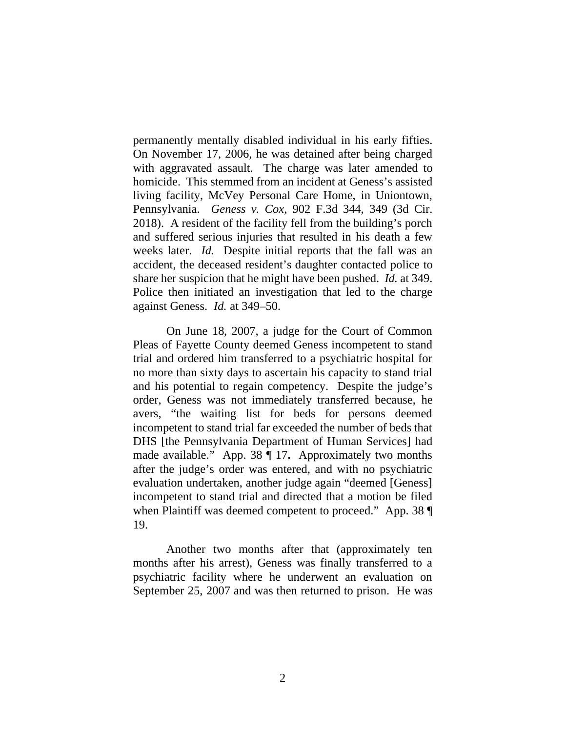permanently mentally disabled individual in his early fifties. On November 17, 2006, he was detained after being charged with aggravated assault. The charge was later amended to homicide. This stemmed from an incident at Geness's assisted living facility, McVey Personal Care Home, in Uniontown, Pennsylvania. *Geness v. Cox*, 902 F.3d 344, 349 (3d Cir. 2018). A resident of the facility fell from the building's porch and suffered serious injuries that resulted in his death a few weeks later. *Id.* Despite initial reports that the fall was an accident, the deceased resident's daughter contacted police to share her suspicion that he might have been pushed. *Id.* at 349. Police then initiated an investigation that led to the charge against Geness. *Id.* at 349–50.

On June 18, 2007, a judge for the Court of Common Pleas of Fayette County deemed Geness incompetent to stand trial and ordered him transferred to a psychiatric hospital for no more than sixty days to ascertain his capacity to stand trial and his potential to regain competency. Despite the judge's order, Geness was not immediately transferred because, he avers, "the waiting list for beds for persons deemed incompetent to stand trial far exceeded the number of beds that DHS [the Pennsylvania Department of Human Services] had made available." App. 38 ¶ 17**.** Approximately two months after the judge's order was entered, and with no psychiatric evaluation undertaken, another judge again "deemed [Geness] incompetent to stand trial and directed that a motion be filed when Plaintiff was deemed competent to proceed." App. 38 19.

Another two months after that (approximately ten months after his arrest), Geness was finally transferred to a psychiatric facility where he underwent an evaluation on September 25, 2007 and was then returned to prison. He was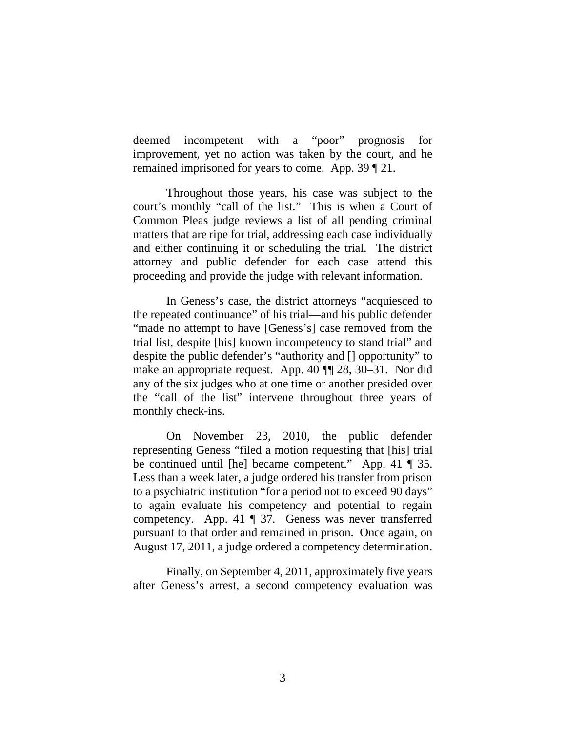deemed incompetent with a "poor" prognosis for improvement, yet no action was taken by the court, and he remained imprisoned for years to come. App. 39 ¶ 21.

Throughout those years, his case was subject to the court's monthly "call of the list." This is when a Court of Common Pleas judge reviews a list of all pending criminal matters that are ripe for trial, addressing each case individually and either continuing it or scheduling the trial. The district attorney and public defender for each case attend this proceeding and provide the judge with relevant information.

In Geness's case, the district attorneys "acquiesced to the repeated continuance" of his trial—and his public defender "made no attempt to have [Geness's] case removed from the trial list, despite [his] known incompetency to stand trial" and despite the public defender's "authority and [] opportunity" to make an appropriate request. App. 40 ¶¶ 28, 30–31. Nor did any of the six judges who at one time or another presided over the "call of the list" intervene throughout three years of monthly check-ins.

On November 23, 2010, the public defender representing Geness "filed a motion requesting that [his] trial be continued until [he] became competent." App. 41 ¶ 35. Less than a week later, a judge ordered his transfer from prison to a psychiatric institution "for a period not to exceed 90 days" to again evaluate his competency and potential to regain competency. App. 41 ¶ 37. Geness was never transferred pursuant to that order and remained in prison. Once again, on August 17, 2011, a judge ordered a competency determination.

Finally, on September 4, 2011, approximately five years after Geness's arrest, a second competency evaluation was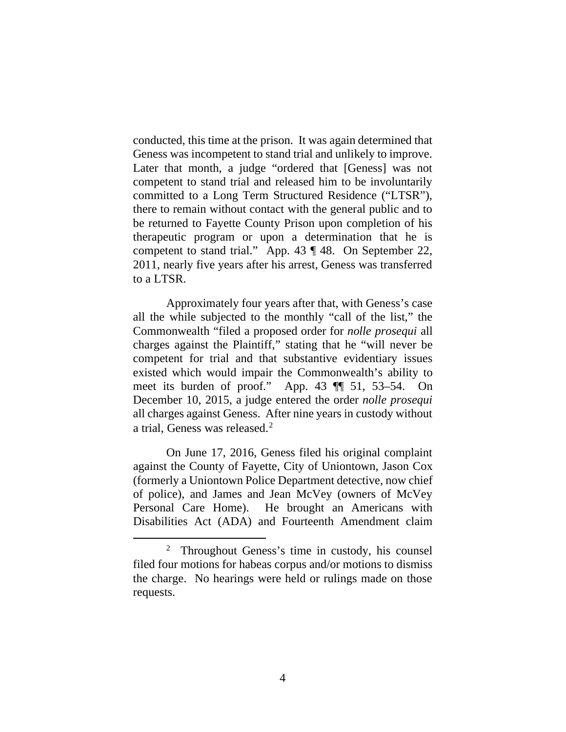conducted, this time at the prison. It was again determined that Geness was incompetent to stand trial and unlikely to improve. Later that month, a judge "ordered that [Geness] was not competent to stand trial and released him to be involuntarily committed to a Long Term Structured Residence ("LTSR"), there to remain without contact with the general public and to be returned to Fayette County Prison upon completion of his therapeutic program or upon a determination that he is competent to stand trial." App. 43 ¶ 48. On September 22, 2011, nearly five years after his arrest, Geness was transferred to a LTSR.

Approximately four years after that, with Geness's case all the while subjected to the monthly "call of the list," the Commonwealth "filed a proposed order for *nolle prosequi* all charges against the Plaintiff," stating that he "will never be competent for trial and that substantive evidentiary issues existed which would impair the Commonwealth's ability to meet its burden of proof." App. 43 ¶¶ 51, 53–54. On December 10, 2015, a judge entered the order *nolle prosequi* all charges against Geness. After nine years in custody without a trial, Geness was released.<sup>2</sup>

On June 17, 2016, Geness filed his original complaint against the County of Fayette, City of Uniontown, Jason Cox (formerly a Uniontown Police Department detective, now chief of police), and James and Jean McVey (owners of McVey Personal Care Home). He brought an Americans with Disabilities Act (ADA) and Fourteenth Amendment claim

<sup>2</sup> Throughout Geness's time in custody, his counsel filed four motions for habeas corpus and/or motions to dismiss the charge. No hearings were held or rulings made on those requests.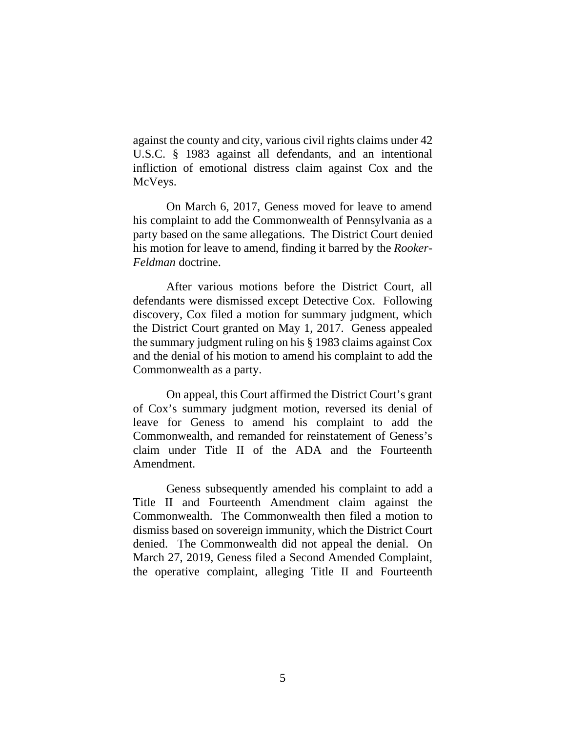against the county and city, various civil rights claims under 42 U.S.C. § 1983 against all defendants, and an intentional infliction of emotional distress claim against Cox and the McVeys.

On March 6, 2017, Geness moved for leave to amend his complaint to add the Commonwealth of Pennsylvania as a party based on the same allegations. The District Court denied his motion for leave to amend, finding it barred by the *Rooker-Feldman* doctrine.

After various motions before the District Court, all defendants were dismissed except Detective Cox. Following discovery, Cox filed a motion for summary judgment, which the District Court granted on May 1, 2017. Geness appealed the summary judgment ruling on his § 1983 claims against Cox and the denial of his motion to amend his complaint to add the Commonwealth as a party.

On appeal, this Court affirmed the District Court's grant of Cox's summary judgment motion, reversed its denial of leave for Geness to amend his complaint to add the Commonwealth, and remanded for reinstatement of Geness's claim under Title II of the ADA and the Fourteenth Amendment.

Geness subsequently amended his complaint to add a Title II and Fourteenth Amendment claim against the Commonwealth. The Commonwealth then filed a motion to dismiss based on sovereign immunity, which the District Court denied. The Commonwealth did not appeal the denial. On March 27, 2019, Geness filed a Second Amended Complaint, the operative complaint, alleging Title II and Fourteenth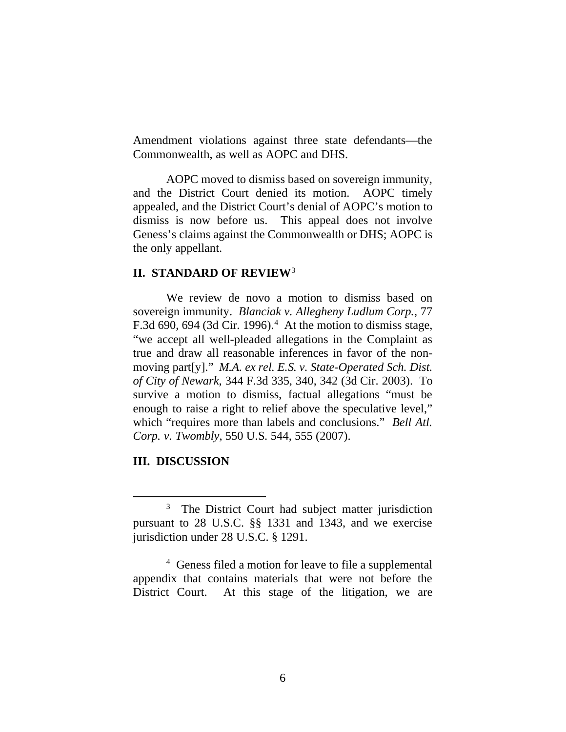Amendment violations against three state defendants—the Commonwealth, as well as AOPC and DHS.

AOPC moved to dismiss based on sovereign immunity, and the District Court denied its motion. AOPC timely appealed, and the District Court's denial of AOPC's motion to dismiss is now before us. This appeal does not involve Geness's claims against the Commonwealth or DHS; AOPC is the only appellant.

# **II. STANDARD OF REVIEW**<sup>3</sup>

We review de novo a motion to dismiss based on sovereign immunity. *Blanciak v. Allegheny Ludlum Corp.*, 77 F.3d 690, 694 (3d Cir. 1996). $4$  At the motion to dismiss stage, "we accept all well-pleaded allegations in the Complaint as true and draw all reasonable inferences in favor of the nonmoving part[y]." *M.A. ex rel. E.S. v. State-Operated Sch. Dist. of City of Newark*, 344 F.3d 335, 340, 342 (3d Cir. 2003). To survive a motion to dismiss, factual allegations "must be enough to raise a right to relief above the speculative level," which "requires more than labels and conclusions." *Bell Atl. Corp. v. Twombly*, 550 U.S. 544, 555 (2007).

#### **III. DISCUSSION**

<sup>&</sup>lt;sup>3</sup> The District Court had subject matter jurisdiction pursuant to 28 U.S.C. §§ 1331 and 1343, and we exercise jurisdiction under 28 U.S.C. § 1291.

<sup>4</sup> Geness filed a motion for leave to file a supplemental appendix that contains materials that were not before the District Court. At this stage of the litigation, we are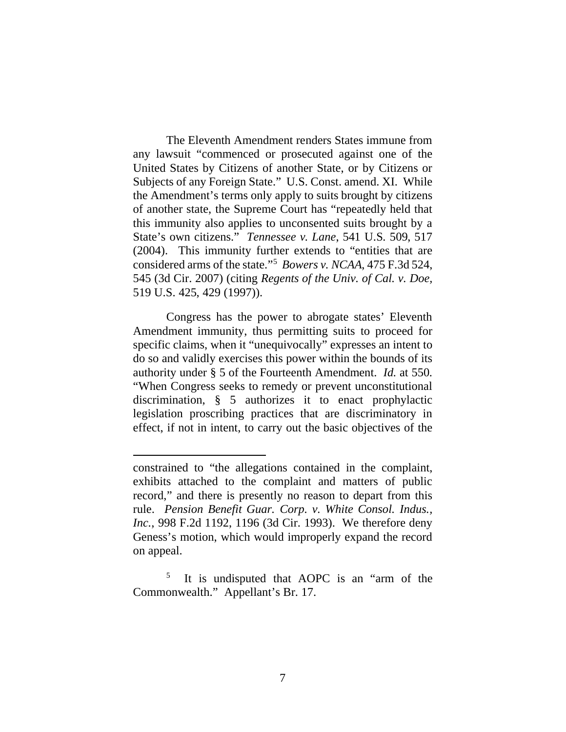The Eleventh Amendment renders States immune from any lawsuit "commenced or prosecuted against one of the United States by Citizens of another State, or by Citizens or Subjects of any Foreign State." U.S. Const. amend. XI. While the Amendment's terms only apply to suits brought by citizens of another state, the Supreme Court has "repeatedly held that this immunity also applies to unconsented suits brought by a State's own citizens." *Tennessee v. Lane*, 541 U.S. 509, 517 (2004). This immunity further extends to "entities that are considered arms of the state."5 *Bowers v. NCAA*, 475 F.3d 524, 545 (3d Cir. 2007) (citing *Regents of the Univ. of Cal. v. Doe,*  519 U.S. 425, 429 (1997)).

Congress has the power to abrogate states' Eleventh Amendment immunity, thus permitting suits to proceed for specific claims, when it "unequivocally" expresses an intent to do so and validly exercises this power within the bounds of its authority under § 5 of the Fourteenth Amendment. *Id.* at 550. "When Congress seeks to remedy or prevent unconstitutional discrimination, § 5 authorizes it to enact prophylactic legislation proscribing practices that are discriminatory in effect, if not in intent, to carry out the basic objectives of the

constrained to "the allegations contained in the complaint, exhibits attached to the complaint and matters of public record," and there is presently no reason to depart from this rule. *Pension Benefit Guar. Corp. v. White Consol. Indus., Inc.*, 998 F.2d 1192, 1196 (3d Cir. 1993). We therefore deny Geness's motion, which would improperly expand the record on appeal.

It is undisputed that AOPC is an "arm of the Commonwealth." Appellant's Br. 17.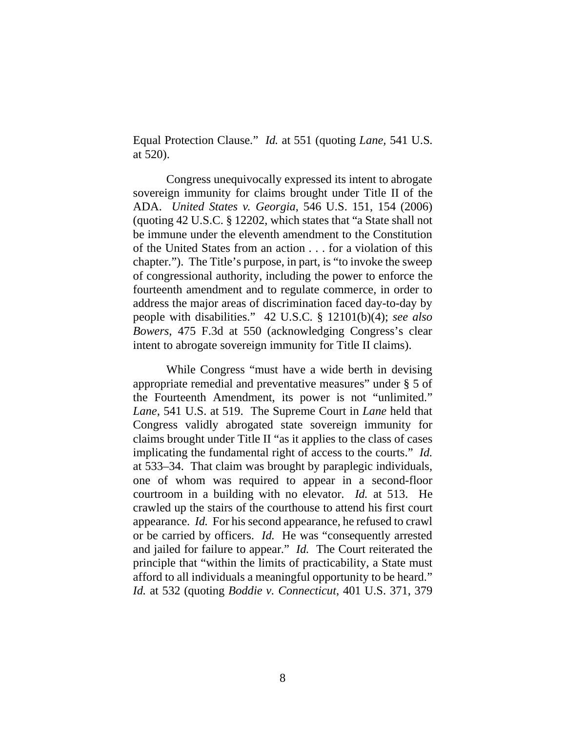Equal Protection Clause." *Id.* at 551 (quoting *Lane,* 541 U.S. at 520).

Congress unequivocally expressed its intent to abrogate sovereign immunity for claims brought under Title II of the ADA. *United States v. Georgia*, 546 U.S. 151, 154 (2006) (quoting 42 U.S.C. § 12202, which states that "a State shall not be immune under the eleventh amendment to the Constitution of the United States from an action . . . for a violation of this chapter."). The Title's purpose, in part, is "to invoke the sweep of congressional authority, including the power to enforce the fourteenth amendment and to regulate commerce, in order to address the major areas of discrimination faced day-to-day by people with disabilities." 42 U.S.C. § 12101(b)(4); *see also Bowers*, 475 F.3d at 550 (acknowledging Congress's clear intent to abrogate sovereign immunity for Title II claims).

While Congress "must have a wide berth in devising appropriate remedial and preventative measures" under § 5 of the Fourteenth Amendment, its power is not "unlimited." *Lane*, 541 U.S. at 519. The Supreme Court in *Lane* held that Congress validly abrogated state sovereign immunity for claims brought under Title II "as it applies to the class of cases implicating the fundamental right of access to the courts." *Id.* at 533–34. That claim was brought by paraplegic individuals, one of whom was required to appear in a second-floor courtroom in a building with no elevator. *Id.* at 513. He crawled up the stairs of the courthouse to attend his first court appearance. *Id.* For his second appearance, he refused to crawl or be carried by officers. *Id.* He was "consequently arrested and jailed for failure to appear." *Id.* The Court reiterated the principle that "within the limits of practicability, a State must afford to all individuals a meaningful opportunity to be heard." *Id.* at 532 (quoting *Boddie v. Connecticut*, 401 U.S. 371, 379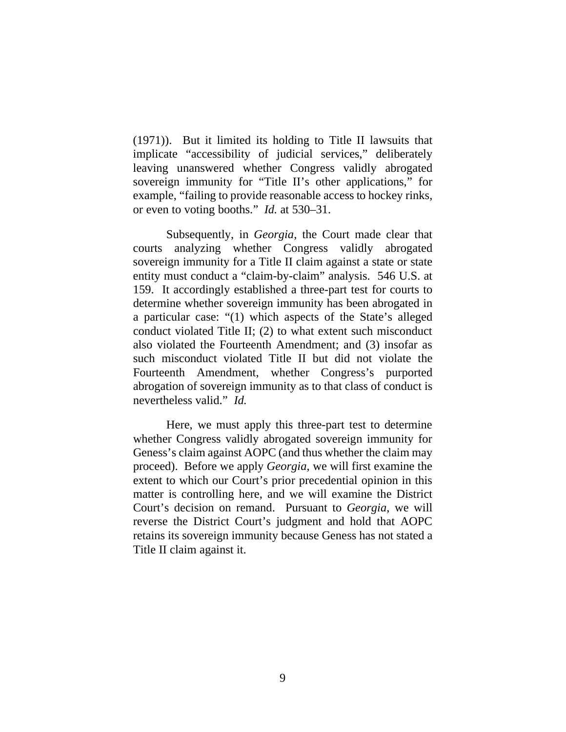(1971)). But it limited its holding to Title II lawsuits that implicate "accessibility of judicial services," deliberately leaving unanswered whether Congress validly abrogated sovereign immunity for "Title II's other applications," for example, "failing to provide reasonable access to hockey rinks, or even to voting booths." *Id.* at 530–31.

Subsequently, in *Georgia*, the Court made clear that courts analyzing whether Congress validly abrogated sovereign immunity for a Title II claim against a state or state entity must conduct a "claim-by-claim" analysis. 546 U.S. at 159.It accordingly established a three-part test for courts to determine whether sovereign immunity has been abrogated in a particular case: "(1) which aspects of the State's alleged conduct violated Title II; (2) to what extent such misconduct also violated the Fourteenth Amendment; and (3) insofar as such misconduct violated Title II but did not violate the Fourteenth Amendment, whether Congress's purported abrogation of sovereign immunity as to that class of conduct is nevertheless valid." *Id.*

Here, we must apply this three-part test to determine whether Congress validly abrogated sovereign immunity for Geness's claim against AOPC (and thus whether the claim may proceed). Before we apply *Georgia*, we will first examine the extent to which our Court's prior precedential opinion in this matter is controlling here, and we will examine the District Court's decision on remand. Pursuant to *Georgia*, we will reverse the District Court's judgment and hold that AOPC retains its sovereign immunity because Geness has not stated a Title II claim against it.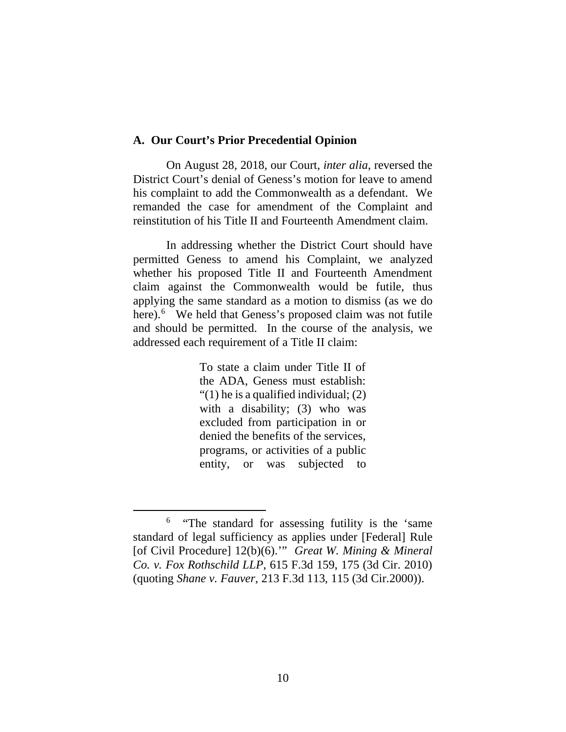#### **A. Our Court's Prior Precedential Opinion**

On August 28, 2018, our Court, *inter alia*, reversed the District Court's denial of Geness's motion for leave to amend his complaint to add the Commonwealth as a defendant. We remanded the case for amendment of the Complaint and reinstitution of his Title II and Fourteenth Amendment claim.

In addressing whether the District Court should have permitted Geness to amend his Complaint, we analyzed whether his proposed Title II and Fourteenth Amendment claim against the Commonwealth would be futile, thus applying the same standard as a motion to dismiss (as we do here).<sup>6</sup> We held that Geness's proposed claim was not futile and should be permitted. In the course of the analysis, we addressed each requirement of a Title II claim:

> To state a claim under Title II of the ADA, Geness must establish: "(1) he is a qualified individual; (2) with a disability; (3) who was excluded from participation in or denied the benefits of the services, programs, or activities of a public entity, or was subjected to

<sup>&</sup>lt;sup>6</sup> "The standard for assessing futility is the 'same standard of legal sufficiency as applies under [Federal] Rule [of Civil Procedure] 12(b)(6).'" *Great W. Mining & Mineral Co. v. Fox Rothschild LLP*, 615 F.3d 159, 175 (3d Cir. 2010) (quoting *Shane v. Fauver*, 213 F.3d 113, 115 (3d Cir.2000)).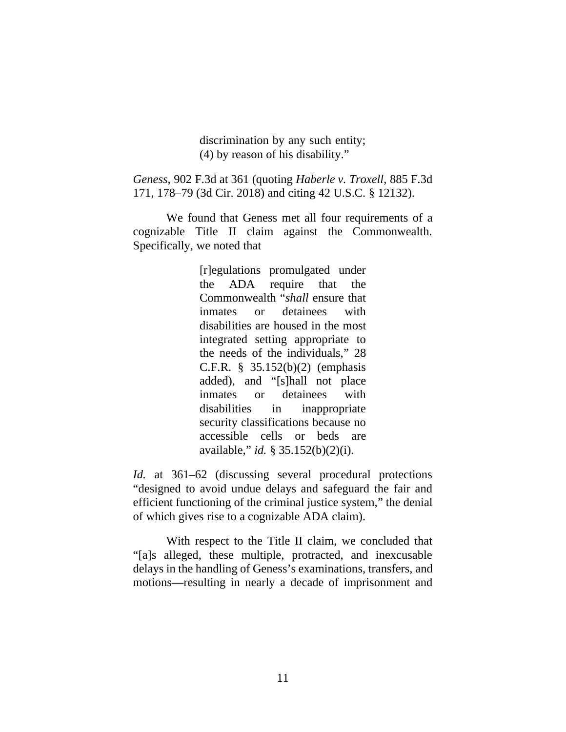discrimination by any such entity; (4) by reason of his disability."

*Geness*, 902 F.3d at 361 (quoting *Haberle v. Troxell*, 885 F.3d 171, 178–79 (3d Cir. 2018) and citing 42 U.S.C. § 12132).

We found that Geness met all four requirements of a cognizable Title II claim against the Commonwealth. Specifically, we noted that

> [r]egulations promulgated under the ADA require that the Commonwealth "*shall* ensure that inmates or detainees with disabilities are housed in the most integrated setting appropriate to the needs of the individuals," 28 C.F.R. § 35.152(b)(2) (emphasis added), and "[s]hall not place inmates or detainees with disabilities in inappropriate security classifications because no accessible cells or beds are available," *id.* § 35.152(b)(2)(i).

*Id.* at 361–62 (discussing several procedural protections "designed to avoid undue delays and safeguard the fair and efficient functioning of the criminal justice system," the denial of which gives rise to a cognizable ADA claim).

With respect to the Title II claim, we concluded that "[a]s alleged, these multiple, protracted, and inexcusable delays in the handling of Geness's examinations, transfers, and motions—resulting in nearly a decade of imprisonment and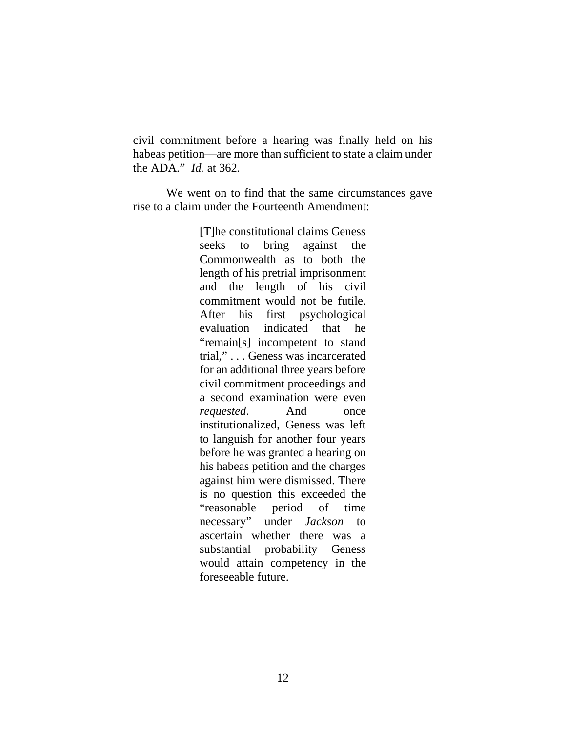civil commitment before a hearing was finally held on his habeas petition—are more than sufficient to state a claim under the ADA." *Id.* at 362.

We went on to find that the same circumstances gave rise to a claim under the Fourteenth Amendment:

> [T]he constitutional claims Geness seeks to bring against the Commonwealth as to both the length of his pretrial imprisonment and the length of his civil commitment would not be futile. After his first psychological evaluation indicated that he "remain[s] incompetent to stand trial," . . . Geness was incarcerated for an additional three years before civil commitment proceedings and a second examination were even *requested*. And once institutionalized, Geness was left to languish for another four years before he was granted a hearing on his habeas petition and the charges against him were dismissed. There is no question this exceeded the "reasonable period of time necessary" under *Jackson* to ascertain whether there was a substantial probability Geness would attain competency in the foreseeable future.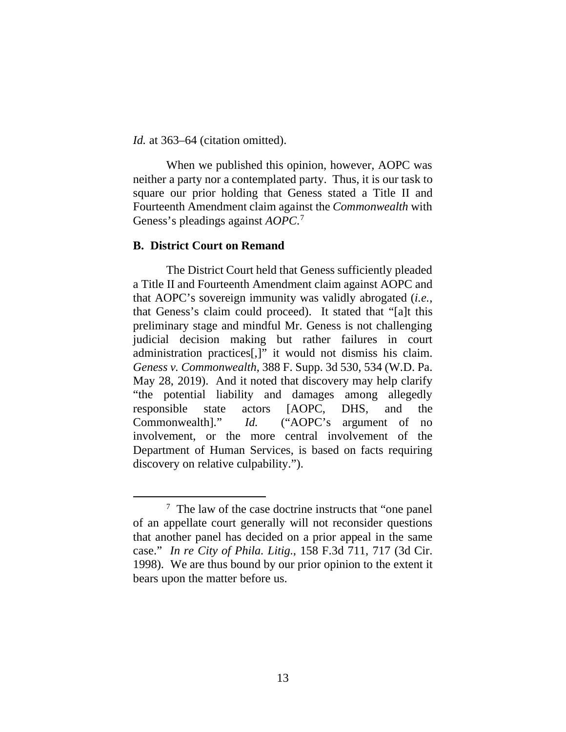*Id.* at 363–64 (citation omitted).

When we published this opinion, however, AOPC was neither a party nor a contemplated party. Thus, it is our task to square our prior holding that Geness stated a Title II and Fourteenth Amendment claim against the *Commonwealth* with Geness's pleadings against *AOPC*. 7

### **B. District Court on Remand**

The District Court held that Geness sufficiently pleaded a Title II and Fourteenth Amendment claim against AOPC and that AOPC's sovereign immunity was validly abrogated (*i.e.*, that Geness's claim could proceed). It stated that "[a]t this preliminary stage and mindful Mr. Geness is not challenging judicial decision making but rather failures in court administration practices[,]" it would not dismiss his claim. *Geness v. Commonwealth*, 388 F. Supp. 3d 530, 534 (W.D. Pa. May 28, 2019). And it noted that discovery may help clarify "the potential liability and damages among allegedly responsible state actors [AOPC, DHS, and the Commonwealth]." *Id.* ("AOPC's argument of no involvement, or the more central involvement of the Department of Human Services, is based on facts requiring discovery on relative culpability.").

<sup>&</sup>lt;sup>7</sup> The law of the case doctrine instructs that "one panel" of an appellate court generally will not reconsider questions that another panel has decided on a prior appeal in the same case." *In re City of Phila. Litig.*, 158 F.3d 711, 717 (3d Cir. 1998). We are thus bound by our prior opinion to the extent it bears upon the matter before us.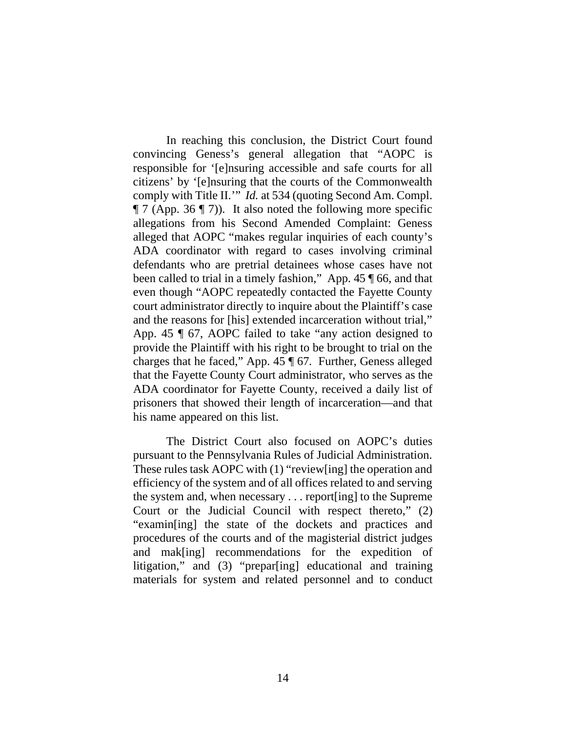In reaching this conclusion, the District Court found convincing Geness's general allegation that "AOPC is responsible for '[e]nsuring accessible and safe courts for all citizens' by '[e]nsuring that the courts of the Commonwealth comply with Title II.'" *Id.* at 534 (quoting Second Am. Compl.  $\P$  7 (App. 36  $\P$  7)). It also noted the following more specific allegations from his Second Amended Complaint: Geness alleged that AOPC "makes regular inquiries of each county's ADA coordinator with regard to cases involving criminal defendants who are pretrial detainees whose cases have not been called to trial in a timely fashion," App. 45 ¶ 66, and that even though "AOPC repeatedly contacted the Fayette County court administrator directly to inquire about the Plaintiff's case and the reasons for [his] extended incarceration without trial," App. 45 ¶ 67, AOPC failed to take "any action designed to provide the Plaintiff with his right to be brought to trial on the charges that he faced," App. 45 ¶ 67. Further, Geness alleged that the Fayette County Court administrator, who serves as the ADA coordinator for Fayette County, received a daily list of prisoners that showed their length of incarceration—and that his name appeared on this list.

The District Court also focused on AOPC's duties pursuant to the Pennsylvania Rules of Judicial Administration. These rules task AOPC with (1) "review[ing] the operation and efficiency of the system and of all offices related to and serving the system and, when necessary . . . report[ing] to the Supreme Court or the Judicial Council with respect thereto," (2) "examin[ing] the state of the dockets and practices and procedures of the courts and of the magisterial district judges and mak[ing] recommendations for the expedition of litigation," and (3) "prepar[ing] educational and training materials for system and related personnel and to conduct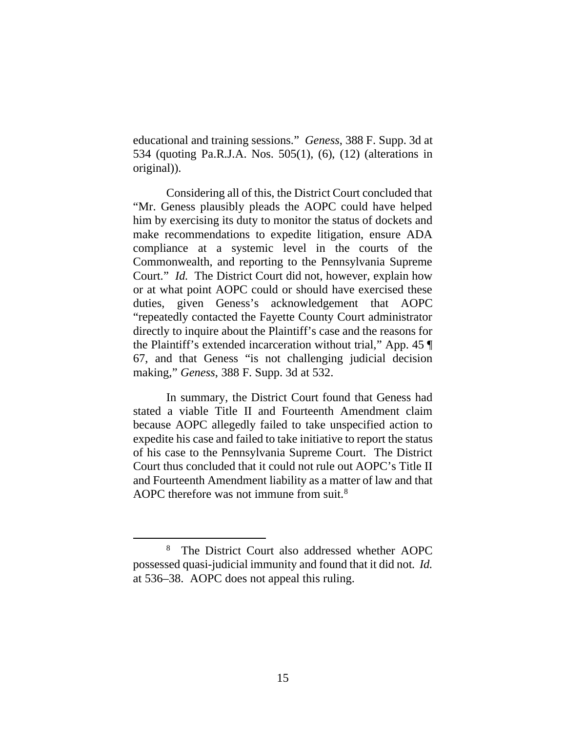educational and training sessions." *Geness*, 388 F. Supp. 3d at 534 (quoting Pa.R.J.A. Nos. 505(1), (6), (12) (alterations in original)).

Considering all of this, the District Court concluded that "Mr. Geness plausibly pleads the AOPC could have helped him by exercising its duty to monitor the status of dockets and make recommendations to expedite litigation, ensure ADA compliance at a systemic level in the courts of the Commonwealth, and reporting to the Pennsylvania Supreme Court." *Id.* The District Court did not, however, explain how or at what point AOPC could or should have exercised these duties, given Geness's acknowledgement that AOPC "repeatedly contacted the Fayette County Court administrator directly to inquire about the Plaintiff's case and the reasons for the Plaintiff's extended incarceration without trial," App. 45 ¶ 67, and that Geness "is not challenging judicial decision making," *Geness*, 388 F. Supp. 3d at 532.

In summary, the District Court found that Geness had stated a viable Title II and Fourteenth Amendment claim because AOPC allegedly failed to take unspecified action to expedite his case and failed to take initiative to report the status of his case to the Pennsylvania Supreme Court. The District Court thus concluded that it could not rule out AOPC's Title II and Fourteenth Amendment liability as a matter of law and that AOPC therefore was not immune from suit.<sup>8</sup>

<sup>8</sup> The District Court also addressed whether AOPC possessed quasi-judicial immunity and found that it did not. *Id.* at 536–38. AOPC does not appeal this ruling.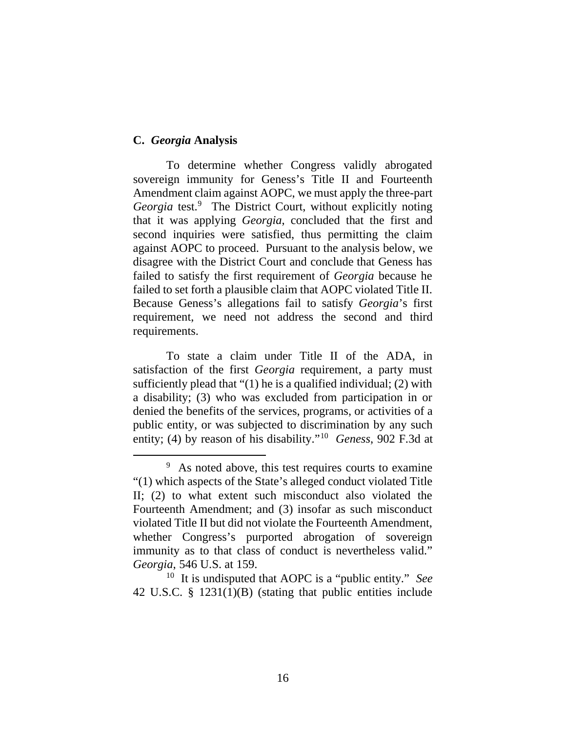### **C.** *Georgia* **Analysis**

To determine whether Congress validly abrogated sovereign immunity for Geness's Title II and Fourteenth Amendment claim against AOPC, we must apply the three-part Georgia test.<sup>9</sup> The District Court, without explicitly noting that it was applying *Georgia*, concluded that the first and second inquiries were satisfied, thus permitting the claim against AOPC to proceed. Pursuant to the analysis below, we disagree with the District Court and conclude that Geness has failed to satisfy the first requirement of *Georgia* because he failed to set forth a plausible claim that AOPC violated Title II. Because Geness's allegations fail to satisfy *Georgia*'s first requirement, we need not address the second and third requirements.

To state a claim under Title II of the ADA, in satisfaction of the first *Georgia* requirement, a party must sufficiently plead that "(1) he is a qualified individual; (2) with a disability; (3) who was excluded from participation in or denied the benefits of the services, programs, or activities of a public entity, or was subjected to discrimination by any such entity; (4) by reason of his disability."10 *Geness*, 902 F.3d at

42 U.S.C. § 1231(1)(B) (stating that public entities include

<sup>&</sup>lt;sup>9</sup> As noted above, this test requires courts to examine "(1) which aspects of the State's alleged conduct violated Title II; (2) to what extent such misconduct also violated the Fourteenth Amendment; and (3) insofar as such misconduct violated Title II but did not violate the Fourteenth Amendment, whether Congress's purported abrogation of sovereign immunity as to that class of conduct is nevertheless valid." *Georgia*, 546 U.S. at 159.<br><sup>10</sup> It is undisputed that AOPC is a "public entity." *See*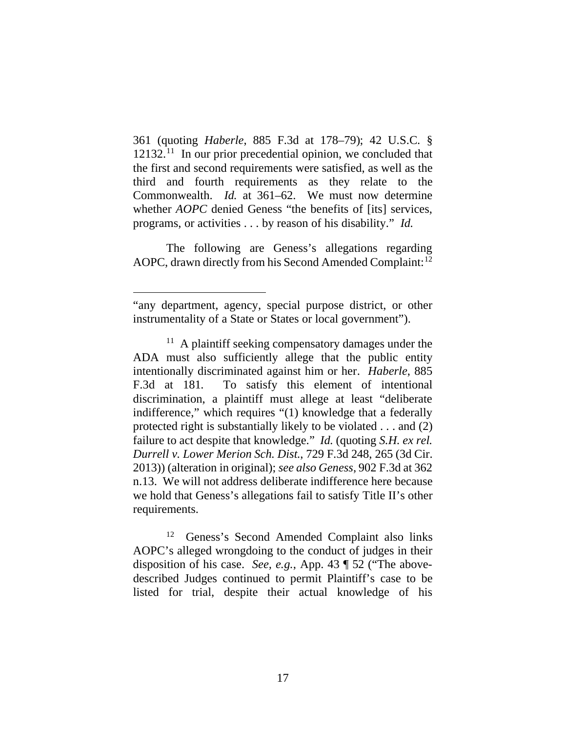361 (quoting *Haberle*, 885 F.3d at 178–79); 42 U.S.C. §  $12132<sup>11</sup>$  In our prior precedential opinion, we concluded that the first and second requirements were satisfied, as well as the third and fourth requirements as they relate to the Commonwealth. *Id.* at 361–62. We must now determine whether *AOPC* denied Geness "the benefits of [its] services, programs, or activities . . . by reason of his disability." *Id.*

The following are Geness's allegations regarding AOPC, drawn directly from his Second Amended Complaint:<sup>12</sup>

Geness's Second Amended Complaint also links AOPC's alleged wrongdoing to the conduct of judges in their disposition of his case. *See, e.g.*, App. 43 ¶ 52 ("The abovedescribed Judges continued to permit Plaintiff's case to be listed for trial, despite their actual knowledge of his

<sup>&</sup>quot;any department, agency, special purpose district, or other instrumentality of a State or States or local government").

 $11$  A plaintiff seeking compensatory damages under the ADA must also sufficiently allege that the public entity intentionally discriminated against him or her. *Haberle*, 885 F.3d at 181. To satisfy this element of intentional discrimination, a plaintiff must allege at least "deliberate indifference," which requires "(1) knowledge that a federally protected right is substantially likely to be violated . . . and (2) failure to act despite that knowledge." *Id.* (quoting *S.H. ex rel. Durrell v. Lower Merion Sch. Dist.*, 729 F.3d 248, 265 (3d Cir. 2013)) (alteration in original); *see also Geness*, 902 F.3d at 362 n.13. We will not address deliberate indifference here because we hold that Geness's allegations fail to satisfy Title II's other requirements.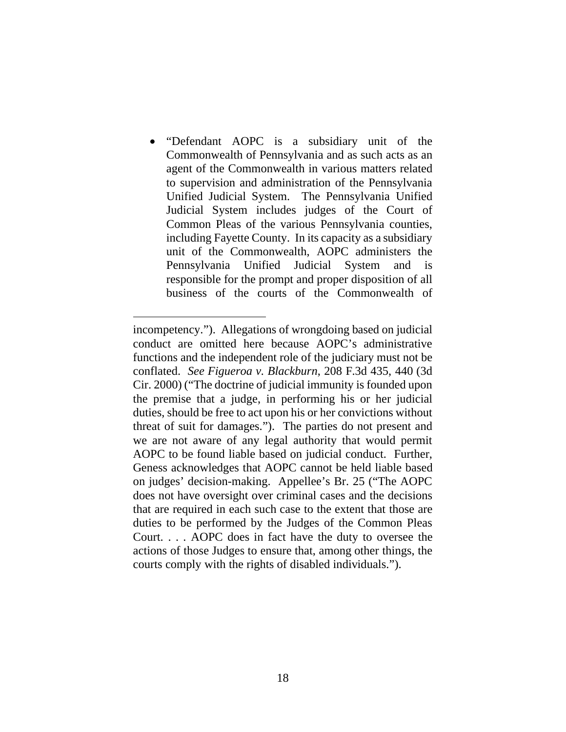• "Defendant AOPC is a subsidiary unit of the Commonwealth of Pennsylvania and as such acts as an agent of the Commonwealth in various matters related to supervision and administration of the Pennsylvania Unified Judicial System. The Pennsylvania Unified Judicial System includes judges of the Court of Common Pleas of the various Pennsylvania counties, including Fayette County. In its capacity as a subsidiary unit of the Commonwealth, AOPC administers the Pennsylvania Unified Judicial System and is responsible for the prompt and proper disposition of all business of the courts of the Commonwealth of

incompetency."). Allegations of wrongdoing based on judicial conduct are omitted here because AOPC's administrative functions and the independent role of the judiciary must not be conflated. *See Figueroa v. Blackburn*, 208 F.3d 435, 440 (3d Cir. 2000) ("The doctrine of judicial immunity is founded upon the premise that a judge, in performing his or her judicial duties, should be free to act upon his or her convictions without threat of suit for damages."). The parties do not present and we are not aware of any legal authority that would permit AOPC to be found liable based on judicial conduct. Further, Geness acknowledges that AOPC cannot be held liable based on judges' decision-making. Appellee's Br. 25 ("The AOPC does not have oversight over criminal cases and the decisions that are required in each such case to the extent that those are duties to be performed by the Judges of the Common Pleas Court. . . . AOPC does in fact have the duty to oversee the actions of those Judges to ensure that, among other things, the courts comply with the rights of disabled individuals.").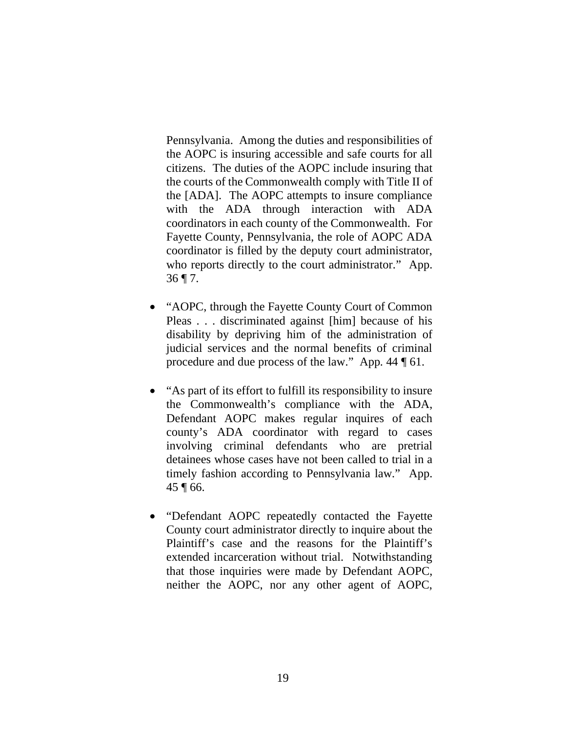Pennsylvania. Among the duties and responsibilities of the AOPC is insuring accessible and safe courts for all citizens. The duties of the AOPC include insuring that the courts of the Commonwealth comply with Title II of the [ADA]. The AOPC attempts to insure compliance with the ADA through interaction with ADA coordinators in each county of the Commonwealth. For Fayette County, Pennsylvania, the role of AOPC ADA coordinator is filled by the deputy court administrator, who reports directly to the court administrator." App.  $36$  ¶ 7.

- "AOPC, through the Fayette County Court of Common Pleas . . . discriminated against [him] because of his disability by depriving him of the administration of judicial services and the normal benefits of criminal procedure and due process of the law." App. 44 ¶ 61.
- "As part of its effort to fulfill its responsibility to insure the Commonwealth's compliance with the ADA, Defendant AOPC makes regular inquires of each county's ADA coordinator with regard to cases involving criminal defendants who are pretrial detainees whose cases have not been called to trial in a timely fashion according to Pennsylvania law." App. 45 ¶ 66.
- "Defendant AOPC repeatedly contacted the Fayette County court administrator directly to inquire about the Plaintiff's case and the reasons for the Plaintiff's extended incarceration without trial. Notwithstanding that those inquiries were made by Defendant AOPC, neither the AOPC, nor any other agent of AOPC,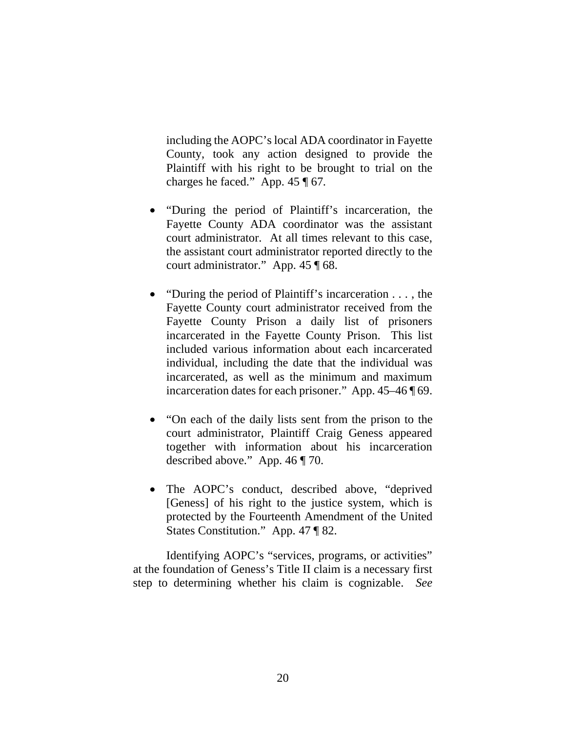including the AOPC's local ADA coordinator in Fayette County, took any action designed to provide the Plaintiff with his right to be brought to trial on the charges he faced." App. 45 ¶ 67.

- "During the period of Plaintiff's incarceration, the Fayette County ADA coordinator was the assistant court administrator. At all times relevant to this case, the assistant court administrator reported directly to the court administrator." App. 45 ¶ 68.
- "During the period of Plaintiff's incarceration . . . , the Fayette County court administrator received from the Fayette County Prison a daily list of prisoners incarcerated in the Fayette County Prison. This list included various information about each incarcerated individual, including the date that the individual was incarcerated, as well as the minimum and maximum incarceration dates for each prisoner." App. 45–46 ¶ 69.
- "On each of the daily lists sent from the prison to the court administrator, Plaintiff Craig Geness appeared together with information about his incarceration described above." App. 46 ¶ 70.
- The AOPC's conduct, described above, "deprived" [Geness] of his right to the justice system, which is protected by the Fourteenth Amendment of the United States Constitution." App. 47 ¶ 82.

Identifying AOPC's "services, programs, or activities" at the foundation of Geness's Title II claim is a necessary first step to determining whether his claim is cognizable. *See*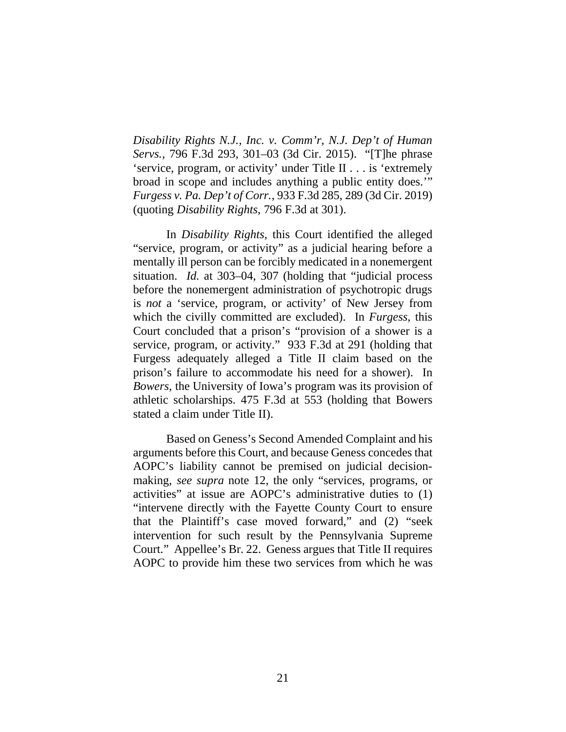*Disability Rights N.J., Inc. v. Comm'r, N.J. Dep't of Human Servs.*, 796 F.3d 293, 301–03 (3d Cir. 2015). "[T]he phrase 'service, program, or activity' under Title II . . . is 'extremely broad in scope and includes anything a public entity does.'" *Furgess v. Pa. Dep't of Corr.*, 933 F.3d 285, 289 (3d Cir. 2019) (quoting *Disability Rights*, 796 F.3d at 301).

In *Disability Rights*, this Court identified the alleged "service, program, or activity" as a judicial hearing before a mentally ill person can be forcibly medicated in a nonemergent situation. *Id.* at 303–04, 307 (holding that "judicial process before the nonemergent administration of psychotropic drugs is *not* a 'service, program, or activity' of New Jersey from which the civilly committed are excluded). In *Furgess*, this Court concluded that a prison's "provision of a shower is a service, program, or activity." 933 F.3d at 291 (holding that Furgess adequately alleged a Title II claim based on the prison's failure to accommodate his need for a shower).In *Bowers*, the University of Iowa's program was its provision of athletic scholarships. 475 F.3d at 553 (holding that Bowers stated a claim under Title II).

Based on Geness's Second Amended Complaint and his arguments before this Court, and because Geness concedes that AOPC's liability cannot be premised on judicial decisionmaking, *see supra* note 12, the only "services, programs, or activities" at issue are AOPC's administrative duties to (1) "intervene directly with the Fayette County Court to ensure that the Plaintiff's case moved forward," and (2) "seek intervention for such result by the Pennsylvania Supreme Court." Appellee's Br. 22. Geness argues that Title II requires AOPC to provide him these two services from which he was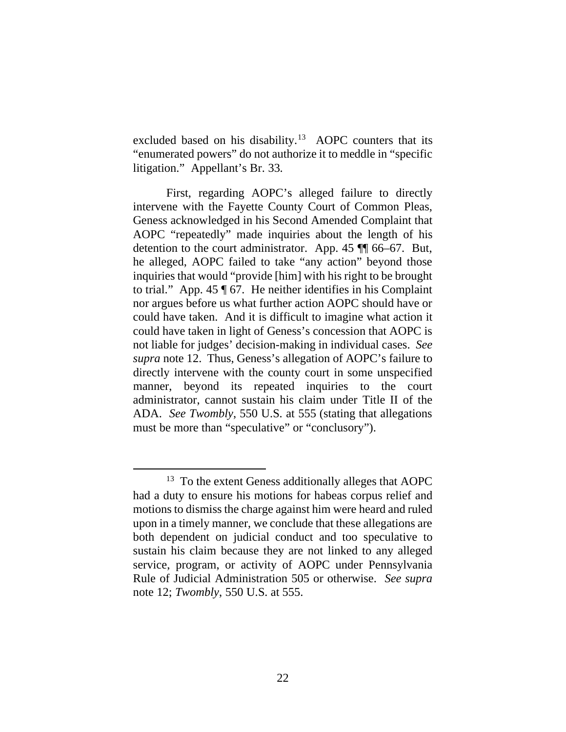excluded based on his disability.<sup>13</sup> AOPC counters that its "enumerated powers" do not authorize it to meddle in "specific litigation." Appellant's Br. 33.

First, regarding AOPC's alleged failure to directly intervene with the Fayette County Court of Common Pleas, Geness acknowledged in his Second Amended Complaint that AOPC "repeatedly" made inquiries about the length of his detention to the court administrator. App. 45 ¶¶ 66–67. But, he alleged, AOPC failed to take "any action" beyond those inquiries that would "provide [him] with his right to be brought to trial." App. 45 ¶ 67. He neither identifies in his Complaint nor argues before us what further action AOPC should have or could have taken. And it is difficult to imagine what action it could have taken in light of Geness's concession that AOPC is not liable for judges' decision-making in individual cases. *See supra* note 12. Thus, Geness's allegation of AOPC's failure to directly intervene with the county court in some unspecified manner, beyond its repeated inquiries to the court administrator, cannot sustain his claim under Title II of the ADA. *See Twombly*, 550 U.S. at 555 (stating that allegations must be more than "speculative" or "conclusory").

<sup>&</sup>lt;sup>13</sup> To the extent Geness additionally alleges that AOPC had a duty to ensure his motions for habeas corpus relief and motions to dismiss the charge against him were heard and ruled upon in a timely manner, we conclude that these allegations are both dependent on judicial conduct and too speculative to sustain his claim because they are not linked to any alleged service, program, or activity of AOPC under Pennsylvania Rule of Judicial Administration 505 or otherwise. *See supra*  note 12; *Twombly*, 550 U.S. at 555.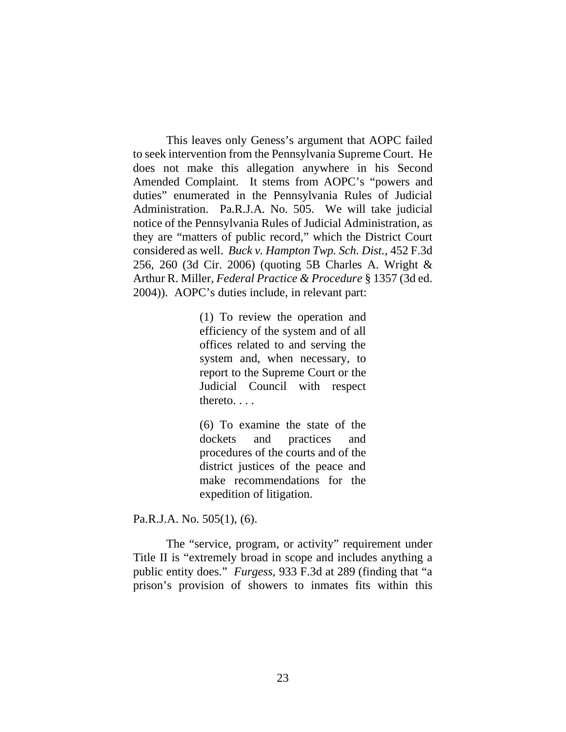This leaves only Geness's argument that AOPC failed to seek intervention from the Pennsylvania Supreme Court. He does not make this allegation anywhere in his Second Amended Complaint. It stems from AOPC's "powers and duties" enumerated in the Pennsylvania Rules of Judicial Administration. Pa.R.J.A. No. 505. We will take judicial notice of the Pennsylvania Rules of Judicial Administration, as they are "matters of public record," which the District Court considered as well. *Buck v. Hampton Twp. Sch. Dist.*, 452 F.3d 256, 260 (3d Cir. 2006) (quoting 5B Charles A. Wright & Arthur R. Miller, *Federal Practice & Procedure* § 1357 (3d ed. 2004)). AOPC's duties include, in relevant part:

> (1) To review the operation and efficiency of the system and of all offices related to and serving the system and, when necessary, to report to the Supreme Court or the Judicial Council with respect thereto. . . .

> (6) To examine the state of the dockets and practices and procedures of the courts and of the district justices of the peace and make recommendations for the expedition of litigation.

Pa.R.J.A. No. 505(1), (6).

The "service, program, or activity" requirement under Title II is "extremely broad in scope and includes anything a public entity does." *Furgess*, 933 F.3d at 289 (finding that "a prison's provision of showers to inmates fits within this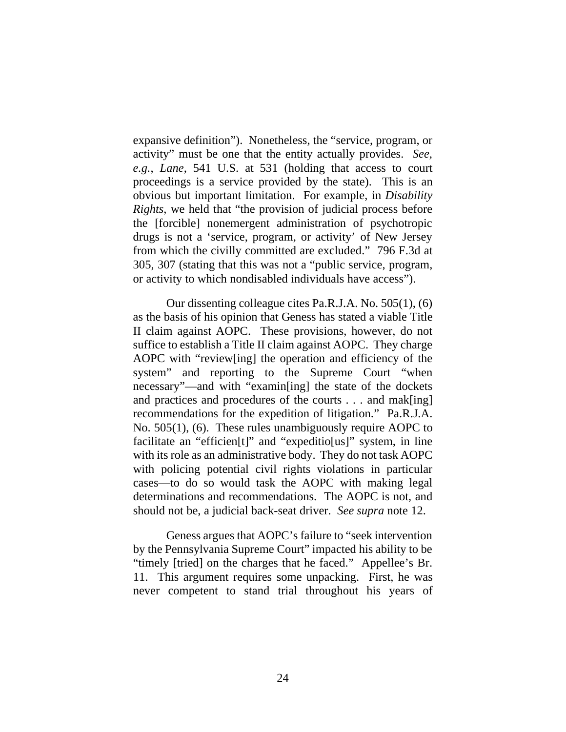expansive definition"). Nonetheless, the "service, program, or activity" must be one that the entity actually provides. *See, e.g.*, *Lane*, 541 U.S. at 531 (holding that access to court proceedings is a service provided by the state). This is an obvious but important limitation. For example, in *Disability Rights*, we held that "the provision of judicial process before the [forcible] nonemergent administration of psychotropic drugs is not a 'service, program, or activity' of New Jersey from which the civilly committed are excluded." 796 F.3d at 305, 307 (stating that this was not a "public service, program, or activity to which nondisabled individuals have access").

Our dissenting colleague cites Pa.R.J.A. No. 505(1), (6) as the basis of his opinion that Geness has stated a viable Title II claim against AOPC. These provisions, however, do not suffice to establish a Title II claim against AOPC. They charge AOPC with "review[ing] the operation and efficiency of the system" and reporting to the Supreme Court "when necessary"—and with "examin[ing] the state of the dockets and practices and procedures of the courts . . . and mak[ing] recommendations for the expedition of litigation." Pa.R.J.A. No. 505(1), (6). These rules unambiguously require AOPC to facilitate an "efficien[t]" and "expeditio[us]" system, in line with its role as an administrative body. They do not task AOPC with policing potential civil rights violations in particular cases—to do so would task the AOPC with making legal determinations and recommendations. The AOPC is not, and should not be, a judicial back-seat driver. *See supra* note 12.

Geness argues that AOPC's failure to "seek intervention by the Pennsylvania Supreme Court" impacted his ability to be "timely [tried] on the charges that he faced." Appellee's Br. 11. This argument requires some unpacking. First, he was never competent to stand trial throughout his years of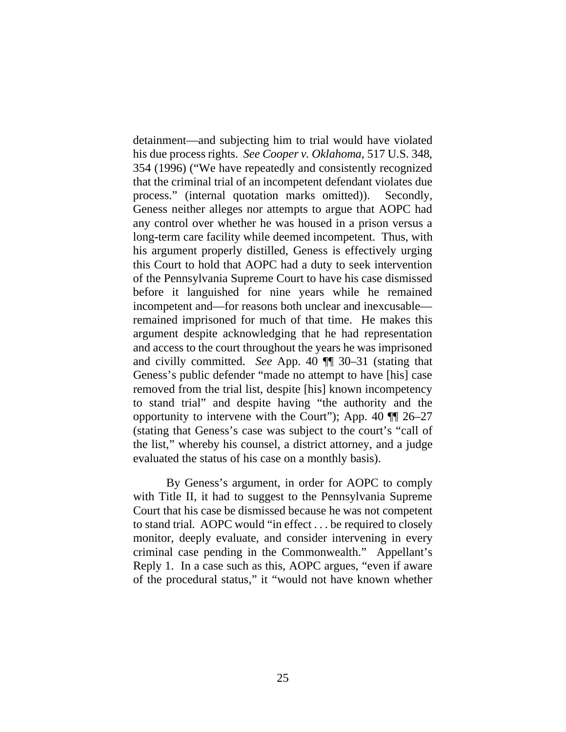detainment—and subjecting him to trial would have violated his due process rights. *See Cooper v. Oklahoma*, 517 U.S. 348, 354 (1996) ("We have repeatedly and consistently recognized that the criminal trial of an incompetent defendant violates due process." (internal quotation marks omitted)). Secondly, Geness neither alleges nor attempts to argue that AOPC had any control over whether he was housed in a prison versus a long-term care facility while deemed incompetent. Thus, with his argument properly distilled, Geness is effectively urging this Court to hold that AOPC had a duty to seek intervention of the Pennsylvania Supreme Court to have his case dismissed before it languished for nine years while he remained incompetent and—for reasons both unclear and inexcusable remained imprisoned for much of that time. He makes this argument despite acknowledging that he had representation and access to the court throughout the years he was imprisoned and civilly committed. *See* App. 40 ¶¶ 30–31 (stating that Geness's public defender "made no attempt to have [his] case removed from the trial list, despite [his] known incompetency to stand trial" and despite having "the authority and the opportunity to intervene with the Court"); App. 40 ¶¶ 26–27 (stating that Geness's case was subject to the court's "call of the list," whereby his counsel, a district attorney, and a judge evaluated the status of his case on a monthly basis).

By Geness's argument, in order for AOPC to comply with Title II, it had to suggest to the Pennsylvania Supreme Court that his case be dismissed because he was not competent to stand trial. AOPC would "in effect . . . be required to closely monitor, deeply evaluate, and consider intervening in every criminal case pending in the Commonwealth." Appellant's Reply 1. In a case such as this, AOPC argues, "even if aware of the procedural status," it "would not have known whether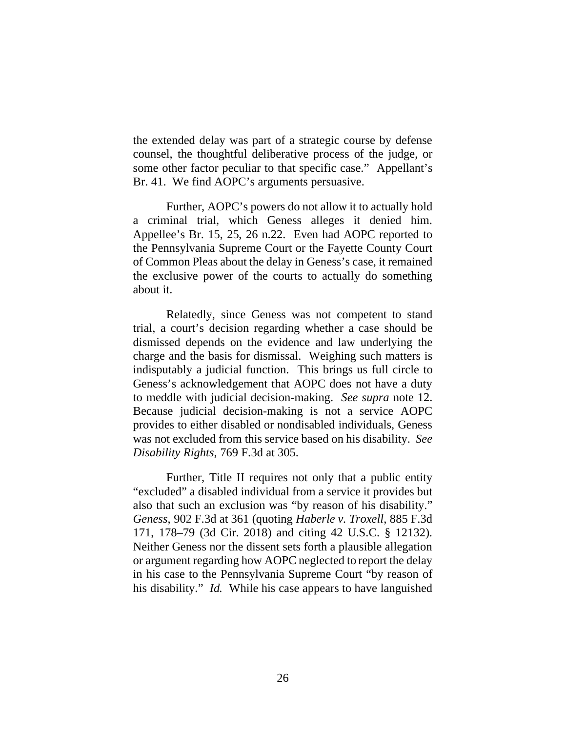the extended delay was part of a strategic course by defense counsel, the thoughtful deliberative process of the judge, or some other factor peculiar to that specific case." Appellant's Br. 41. We find AOPC's arguments persuasive.

Further, AOPC's powers do not allow it to actually hold a criminal trial, which Geness alleges it denied him. Appellee's Br. 15, 25, 26 n.22. Even had AOPC reported to the Pennsylvania Supreme Court or the Fayette County Court of Common Pleas about the delay in Geness's case, it remained the exclusive power of the courts to actually do something about it.

Relatedly, since Geness was not competent to stand trial, a court's decision regarding whether a case should be dismissed depends on the evidence and law underlying the charge and the basis for dismissal. Weighing such matters is indisputably a judicial function. This brings us full circle to Geness's acknowledgement that AOPC does not have a duty to meddle with judicial decision-making. *See supra* note 12. Because judicial decision-making is not a service AOPC provides to either disabled or nondisabled individuals, Geness was not excluded from this service based on his disability. *See Disability Rights*, 769 F.3d at 305.

Further, Title II requires not only that a public entity "excluded" a disabled individual from a service it provides but also that such an exclusion was "by reason of his disability." *Geness*, 902 F.3d at 361 (quoting *Haberle v. Troxell*, 885 F.3d 171, 178–79 (3d Cir. 2018) and citing 42 U.S.C. § 12132). Neither Geness nor the dissent sets forth a plausible allegation or argument regarding how AOPC neglected to report the delay in his case to the Pennsylvania Supreme Court "by reason of his disability." *Id.* While his case appears to have languished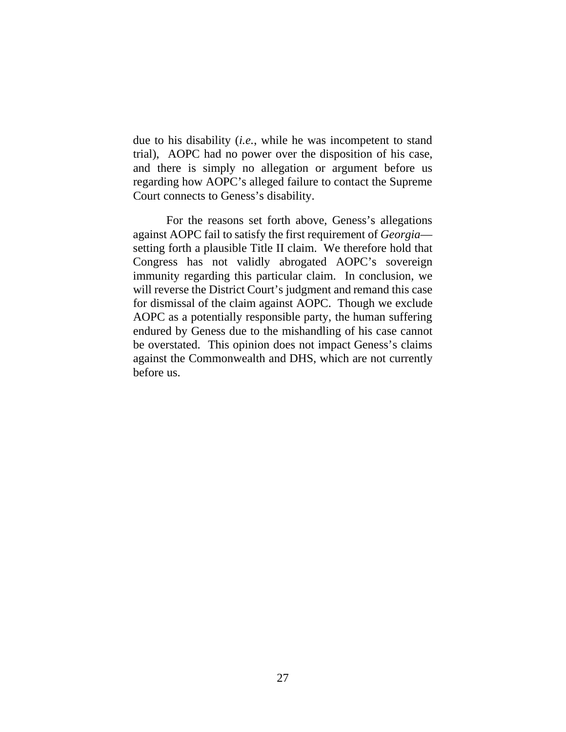due to his disability (*i.e.*, while he was incompetent to stand trial), AOPC had no power over the disposition of his case, and there is simply no allegation or argument before us regarding how AOPC's alleged failure to contact the Supreme Court connects to Geness's disability.

For the reasons set forth above, Geness's allegations against AOPC fail to satisfy the first requirement of *Georgia* setting forth a plausible Title II claim. We therefore hold that Congress has not validly abrogated AOPC's sovereign immunity regarding this particular claim. In conclusion, we will reverse the District Court's judgment and remand this case for dismissal of the claim against AOPC. Though we exclude AOPC as a potentially responsible party, the human suffering endured by Geness due to the mishandling of his case cannot be overstated. This opinion does not impact Geness's claims against the Commonwealth and DHS, which are not currently before us.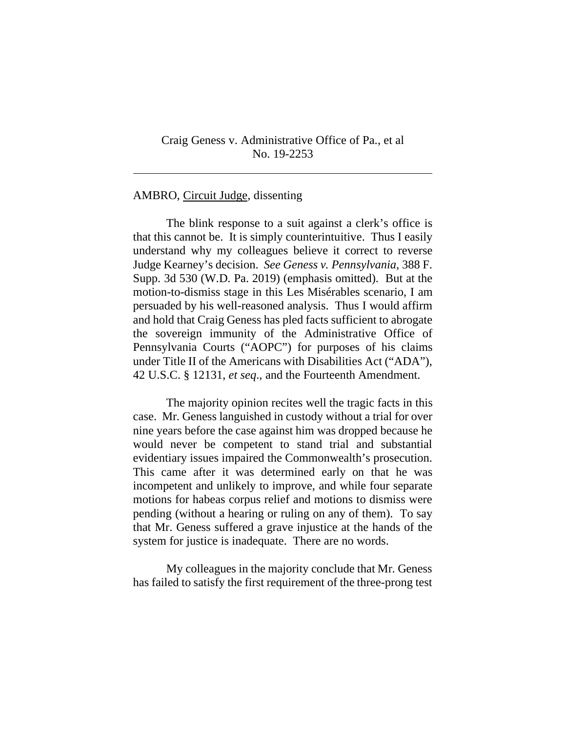### Craig Geness v. Administrative Office of Pa., et al No. 19-2253

#### AMBRO, Circuit Judge, dissenting

l

The blink response to a suit against a clerk's office is that this cannot be. It is simply counterintuitive. Thus I easily understand why my colleagues believe it correct to reverse Judge Kearney's decision. *See Geness v. Pennsylvania*, 388 F. Supp. 3d 530 (W.D. Pa. 2019) (emphasis omitted). But at the motion-to-dismiss stage in this Les Misérables scenario, I am persuaded by his well-reasoned analysis. Thus I would affirm and hold that Craig Geness has pled facts sufficient to abrogate the sovereign immunity of the Administrative Office of Pennsylvania Courts ("AOPC") for purposes of his claims under Title II of the Americans with Disabilities Act ("ADA"), 42 U.S.C. § 12131, *et seq*., and the Fourteenth Amendment.

The majority opinion recites well the tragic facts in this case. Mr. Geness languished in custody without a trial for over nine years before the case against him was dropped because he would never be competent to stand trial and substantial evidentiary issues impaired the Commonwealth's prosecution. This came after it was determined early on that he was incompetent and unlikely to improve, and while four separate motions for habeas corpus relief and motions to dismiss were pending (without a hearing or ruling on any of them). To say that Mr. Geness suffered a grave injustice at the hands of the system for justice is inadequate. There are no words.

My colleagues in the majority conclude that Mr. Geness has failed to satisfy the first requirement of the three-prong test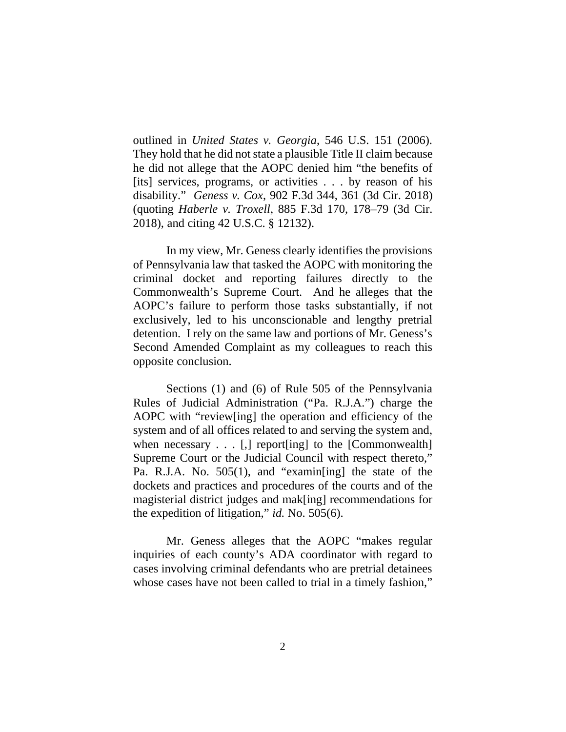outlined in *United States v. Georgia*, 546 U.S. 151 (2006). They hold that he did not state a plausible Title II claim because he did not allege that the AOPC denied him "the benefits of [its] services, programs, or activities . . . by reason of his disability." *Geness v. Cox*, 902 F.3d 344, 361 (3d Cir. 2018) (quoting *Haberle v. Troxell*, 885 F.3d 170, 178–79 (3d Cir. 2018), and citing 42 U.S.C. § 12132).

In my view, Mr. Geness clearly identifies the provisions of Pennsylvania law that tasked the AOPC with monitoring the criminal docket and reporting failures directly to the Commonwealth's Supreme Court. And he alleges that the AOPC's failure to perform those tasks substantially, if not exclusively, led to his unconscionable and lengthy pretrial detention. I rely on the same law and portions of Mr. Geness's Second Amended Complaint as my colleagues to reach this opposite conclusion.

Sections (1) and (6) of Rule 505 of the Pennsylvania Rules of Judicial Administration ("Pa. R.J.A.") charge the AOPC with "review[ing] the operation and efficiency of the system and of all offices related to and serving the system and, when necessary  $\dots$  [,] report [ing] to the [Commonwealth] Supreme Court or the Judicial Council with respect thereto," Pa. R.J.A. No. 505(1), and "examin[ing] the state of the dockets and practices and procedures of the courts and of the magisterial district judges and mak[ing] recommendations for the expedition of litigation," *id.* No. 505(6).

Mr. Geness alleges that the AOPC "makes regular inquiries of each county's ADA coordinator with regard to cases involving criminal defendants who are pretrial detainees whose cases have not been called to trial in a timely fashion,"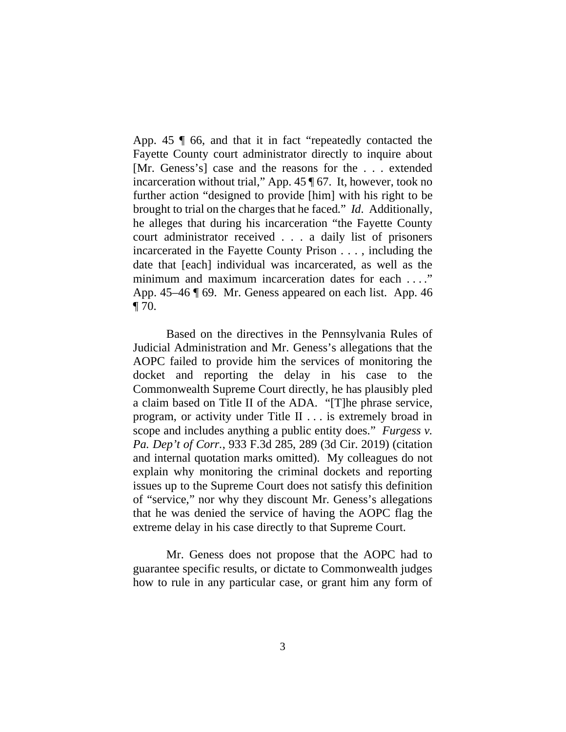App. 45 ¶ 66, and that it in fact "repeatedly contacted the Fayette County court administrator directly to inquire about [Mr. Geness's] case and the reasons for the . . . extended incarceration without trial," App. 45 ¶ 67. It, however, took no further action "designed to provide [him] with his right to be brought to trial on the charges that he faced." *Id*. Additionally, he alleges that during his incarceration "the Fayette County court administrator received . . . a daily list of prisoners incarcerated in the Fayette County Prison . . . , including the date that [each] individual was incarcerated, as well as the minimum and maximum incarceration dates for each . . . ." App. 45–46 ¶ 69. Mr. Geness appeared on each list. App. 46  $\P$  70.

Based on the directives in the Pennsylvania Rules of Judicial Administration and Mr. Geness's allegations that the AOPC failed to provide him the services of monitoring the docket and reporting the delay in his case to the Commonwealth Supreme Court directly, he has plausibly pled a claim based on Title II of the ADA. "[T]he phrase service, program, or activity under Title II . . . is extremely broad in scope and includes anything a public entity does." *Furgess v. Pa. Dep't of Corr.*, 933 F.3d 285, 289 (3d Cir. 2019) (citation and internal quotation marks omitted). My colleagues do not explain why monitoring the criminal dockets and reporting issues up to the Supreme Court does not satisfy this definition of "service," nor why they discount Mr. Geness's allegations that he was denied the service of having the AOPC flag the extreme delay in his case directly to that Supreme Court.

Mr. Geness does not propose that the AOPC had to guarantee specific results, or dictate to Commonwealth judges how to rule in any particular case, or grant him any form of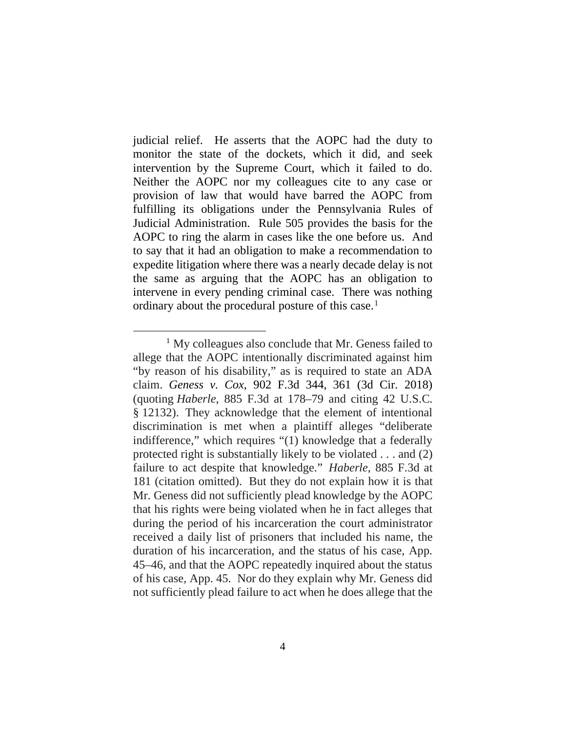judicial relief. He asserts that the AOPC had the duty to monitor the state of the dockets, which it did, and seek intervention by the Supreme Court, which it failed to do. Neither the AOPC nor my colleagues cite to any case or provision of law that would have barred the AOPC from fulfilling its obligations under the Pennsylvania Rules of Judicial Administration. Rule 505 provides the basis for the AOPC to ring the alarm in cases like the one before us. And to say that it had an obligation to make a recommendation to expedite litigation where there was a nearly decade delay is not the same as arguing that the AOPC has an obligation to intervene in every pending criminal case. There was nothing ordinary about the procedural posture of this case.<sup>1</sup>

<sup>&</sup>lt;sup>1</sup> My colleagues also conclude that Mr. Geness failed to allege that the AOPC intentionally discriminated against him "by reason of his disability," as is required to state an ADA claim. *Geness v. Cox*, 902 F.3d 344, 361 (3d Cir. 2018) (quoting *Haberle*, 885 F.3d at 178–79 and citing 42 U.S.C. § 12132). They acknowledge that the element of intentional discrimination is met when a plaintiff alleges "deliberate indifference," which requires "(1) knowledge that a federally protected right is substantially likely to be violated . . . and (2) failure to act despite that knowledge." *Haberle*, 885 F.3d at 181 (citation omitted). But they do not explain how it is that Mr. Geness did not sufficiently plead knowledge by the AOPC that his rights were being violated when he in fact alleges that during the period of his incarceration the court administrator received a daily list of prisoners that included his name, the duration of his incarceration, and the status of his case, App. 45–46, and that the AOPC repeatedly inquired about the status of his case, App. 45. Nor do they explain why Mr. Geness did not sufficiently plead failure to act when he does allege that the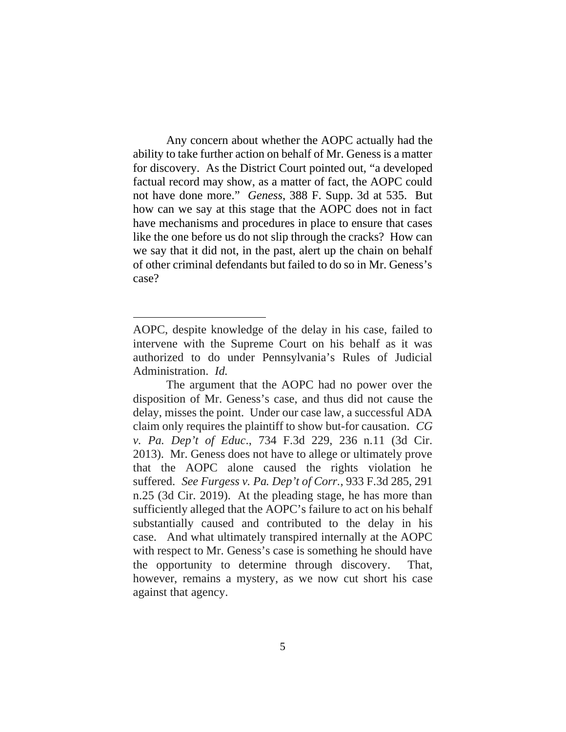Any concern about whether the AOPC actually had the ability to take further action on behalf of Mr. Geness is a matter for discovery. As the District Court pointed out, "a developed factual record may show, as a matter of fact, the AOPC could not have done more." *Geness*, 388 F. Supp. 3d at 535. But how can we say at this stage that the AOPC does not in fact have mechanisms and procedures in place to ensure that cases like the one before us do not slip through the cracks? How can we say that it did not, in the past, alert up the chain on behalf of other criminal defendants but failed to do so in Mr. Geness's case?

AOPC, despite knowledge of the delay in his case, failed to intervene with the Supreme Court on his behalf as it was authorized to do under Pennsylvania's Rules of Judicial Administration. *Id.*

The argument that the AOPC had no power over the disposition of Mr. Geness's case, and thus did not cause the delay, misses the point. Under our case law, a successful ADA claim only requires the plaintiff to show but-for causation. *CG v. Pa. Dep't of Educ*., 734 F.3d 229, 236 n.11 (3d Cir. 2013). Mr. Geness does not have to allege or ultimately prove that the AOPC alone caused the rights violation he suffered. *See Furgess v. Pa. Dep't of Corr.*, 933 F.3d 285, 291 n.25 (3d Cir. 2019). At the pleading stage, he has more than sufficiently alleged that the AOPC's failure to act on his behalf substantially caused and contributed to the delay in his case. And what ultimately transpired internally at the AOPC with respect to Mr. Geness's case is something he should have the opportunity to determine through discovery. That, however, remains a mystery, as we now cut short his case against that agency.